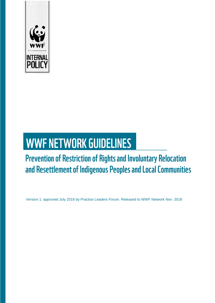

# **WWF NETWORK GUIDELINES**

# **Prevention of Restriction of Rights and Involuntary Relocation** and Resettlement of Indigenous Peoples and Local Communities

Version 1: approved July 2018 by Practice Leaders Forum. Released to WWF Network Nov. 2018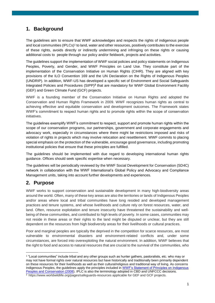# **1. Background**

The guidelines aim to ensure that WWF acknowledges and respects the rights of indigenous people and local communities (IPLCs)<sup>1</sup> to land, water and other resources, positively contributes to the exercise of these rights, avoids directly or indirectly undermining and infringing on these rights or causing additional costs to people through our policy and/or fieldwork, projects and activities.

The guidelines support the implementation of WWF social policies and policy statements on Indigenous Peoples, Poverty, and Gender, and WWF Principles on Land Use. They constitute part of the implementation of the Conservation Initiative on Human Rights (CIHR). They are aligned with key provisions of the ILO Convention 169 and the UN Declaration on the Rights of Indigenous Peoples (UNDRIP). In addition, WWF-US has developed a specific set of Environment and Social Safeguards Integrated Policies and Procedures (SIPP)**<sup>2</sup>** that are mandatory for WWF Global Environment Facility (GEF) and Green Climate Fund (GCF) projects.

WWF is a founding member of the Conservation Initiative on Human Rights and adopted the Conservation and Human Rights Framework in 2009. WWF recognizes human rights as central to achieving effective and equitable conservation and development outcomes. The Framework states WWF's commitment to respect human rights and to promote rights within the scope of conservation initiatives.

The guidelines exemplify WWF's commitment to respect, support and promote human rights within the scope of our conservation programs, our partnerships, government and corporate engagements and advocacy work, especially in circumstances where there might be restrictions imposed and risks of violation of rights in projects which may involve relocation and resettlement. WWF commits to placing special emphasis on the protection of the vulnerable, encourage good governance, including promoting institutional policies that ensure that these principles are fulfilled.

The guidelines should be implemented with due regard to developing international human rights guidance. Offices should seek specific expertise when necessary.

The guidelines will be periodically reviewed by the WWF Social Development for Conservation (SD4C) network in collaboration with the WWF International's Global Policy and Advocacy and Compliance Management units, taking into account further developments and experiences.

### **2. Purpose**

-

WWF works to support conservation and sustainable development in many high-biodiversity areas around the world. Often, many of these key areas are also the territories or lands of Indigenous Peoples and/or areas where local and tribal communities have long resided and developed management practices and tenure systems, and whose livelihoods and culture rely on forest resources, water, and land. Often, resource exploitation and tenure insecurity have threatened the sustainability and wellbeing of these communities, and contributed to high levels of poverty. In some cases, communities may not reside in these areas or their rights to the land might be disputed or unclear, but they are still dependent on the resources from high biodiversity areas for their livelihoods or cultural practices.

Poor and marginal peoples are typically the deprived in the competition for scarce resources, are most vulnerable to environmental disasters and environment-related conflicts and, under some circumstances, are forced into overexploiting the natural environment. In addition, WWF believes that the right to food and access to natural resources that are crucial to the survival of the communities, who

<sup>&</sup>lt;sup>1</sup> "Local communities" include tribal and any other groups such as hunter gathers, pastoralists, etc. who may or may not have formal rights over natural resources but have historically and traditionally been primarily dependent on these resources for their livelihoods as well as their cultural/religious and traditional way of living. As concerns Indigenous Peoples, the guidelines apply the principles included in [WWF's Statement of Principles on Indigenous](http://wwf.panda.org/our_work/people/people_and_conservation/wwf_social_policies/indigenous_peoples/)  [Peoples and Conservation \(2008\)](http://wwf.panda.org/our_work/people/people_and_conservation/wwf_social_policies/indigenous_peoples/). IPLC is also the terminology adopted in CBD and UNFCCC decisions. <sup>2</sup> <https://www.worldwildlife.org/pages/safeguards-resources> applicable for GEF and GCF projects.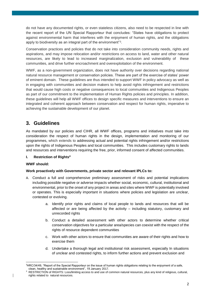do not have any documented rights, or even stateless citizens, also need to be respected in line with the recent report of the UN Special Rapporteur that concludes: "States have obligations to protect against environmental harm that interferes with the enjoyment of human rights, and the obligations apply to biodiversity as an integral part of the environment"<sup>3</sup>.

Conservation practices and policies that do not take into consideration community needs, rights and aspirations, and may impose relocation and/or restrictions on access to land, water and other natural resources, are likely to lead to increased marginalization, exclusion and vulnerability of these communities, and drive further encroachment and overexploitation of the environment.

WWF, as a non-government organization, does not have authority over decisions regarding national natural resource management or conservation policies. These are part of the exercise of states' power of eminent domain. These guidelines are thus intended to support WWF in policy advocacy as well as in engaging with communities and decision makers to help avoid rights infringement and restrictions that would cause high costs or negative consequences to local communities and Indigenous Peoples as part of our commitment to the implementation of Human Rights policies and principles. In addition, these guidelines will help all WWF offices to design specific measures and interventions to ensure an integrated and coherent approach between conservation and respect for human rights, imperative to achieving the sustainable development of our planet.

# **3. Guidelines**

As mandated by our policies and CIHR, all WWF offices, programs and initiatives must take into consideration the respect of human rights in the design, implementation and monitoring of our programmes, which extends to addressing actual and potential rights infringement and/or restrictions upon the rights of Indigenous Peoples and local communities. This includes customary rights to lands and resources and interventions requiring the free, prior, informed consent of affected communities.

#### **I. Restriction of Rights<sup>4</sup>**

#### **WWF should:**

#### **Work proactively with Governments, private sector and relevant IPLCs to:**

- A. Conduct a full and comprehensive preliminary assessment of risks and potential implications including possible negative or adverse impacts whether social, economic, cultural, institutional and environmental, prior to the onset of any project in areas and sites where WWF is potentially involved or operates. This is especially important in situations where policies and legislation are unclear, contested or evolving.
	- a. Identify prior rights and claims of local people to lands and resources that will be affected or are being affected by the activity – including statutory, customary and unrecorded rights
	- b. Conduct a detailed assessment with other actors to determine whether critical conservation objectives for a particular area/species can coexist with the respect of the rights of resource dependent communities
	- c. Work with other actors to ensure that communities are aware of their rights and how to exercise them
	- d. Undertake a thorough legal and institutional risk assessment, especially In situations of unclear and contested rights, to inform further actions and prevent exclusion and

<sup>-</sup><sup>3</sup>HRC/34/49, "Report of the Special Rapporteur on the issue of human rights obligations relating to the enjoyment of a safe, clean, healthy and sustainable environment", 19 January 2017.

RESTRICTION of RIGHTS: Loss/limiting access to and use of common natural resources, plus any kind of religious, cultural, rights related to natural resources.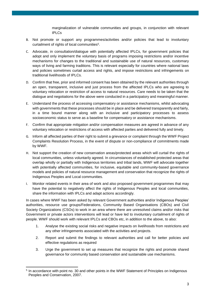marginalization of vulnerable communities and groups, in conjunction with relevant IPLCs

- B. Not promote or support any programmes/activities and/or policies that lead to involuntary curtailment of rights of local communities<sup>5</sup>.
- C. Advocate, in consultation/dialogue with potentially affected IPLCs, for government policies that adopt and only implement the voluntary basis of programs imposing restrictions and/or incentive mechanisms for changes to the traditional and sustainable use of natural resources, customary ways of living and farming traditions. This is relevant especially for countries where national laws and policies sometimes curtail access and rights, and impose restrictions and infringements on traditional livelihoods of IPLCs.
- D. Confirm that free, prior and informed consent has been obtained by the relevant authorities through an open, transparent, inclusive and just process from the affected IPLCs who are agreeing to voluntary relocation or restriction of access to natural resources. Care needs to be taken that the dialogue and negotiations for the above were conducted in a participatory and meaningful manner.
- E. Understand the process of accessing compensatory or assistance mechanisms, whilst advocating with governments that these processes should be in place and be delivered transparently and fairly, in a time bound manner along with an inclusive and participatory processes to assess socioeconomic status to serve as a baseline for compensatory or assistance mechanisms.
- F. Confirm that appropriate mitigation and/or compensation measures are agreed in advance of any voluntary relocation or restrictions of access with affected parties and delivered fully and timely.
- G. Inform all affected parties of their right to submit a grievance or complaint through the WWF Project Complaints Resolution Process, in the event of dispute or non-compliance of commitments made by WWF.
- H. Not support the creation of new conservation areas/protected areas which will curtail the rights of local communities, unless voluntarily agreed. In circumstances of established protected areas that overlap wholly or partially with Indigenous territories and tribal lands, WWF will advocate together with potentially affected communities, for inclusive, equitable and community-based governance models and policies of natural resource management and conservation that recognize the rights of Indigenous Peoples and Local communities.
- I. Monitor related events in their area of work and also proposed government programmes that may have the potential to negatively affect the rights of Indigenous Peoples and local communities, share the information with IPLCs and adapt actions accordingly.

In cases where WWF has been asked by relevant Government authorities and/or Indigenous Peoples' authorities, resource use groups/Federations, Community Based Organisations (CBOs) and Civil Society Organizations (CSOs) to work in an area where there are unresolved claims and/or risks that Government or private actors interventions will lead or have led to involuntary curtailment of rights of people. WWF should work with relevant IPLCs and CBOs etc, in addition to the above, to also:

- 1. Analyse the existing social risks and negative impacts on livelihoods from restrictions and any other infringements associated with the activities and projects.
- 2. Report and submit the findings to relevant authorities and call for better policies and effective regulations as required
- 3. Urge the government to set up measures that recognize the rights and promote shared governance for community based conservation and sustainable use mechanisms.

-

<sup>&</sup>lt;sup>5</sup> In accordance with point no. 30 and other points in the WWF Statement of Principles on Indigenous Peoples and Conservation, 2007.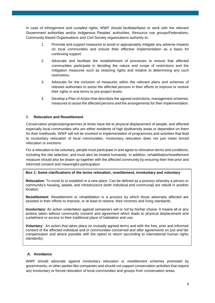In case of infringement and curtailed rights, WWF should facilitate/liaise or work with the relevant Government authorities and/or Indigenous Peoples' authorities, Resource use groups/Federations, Community Based Organisations and Civil Society organizations authority to:

- 1. Promote and support measures to avoid or appropriately mitigate any adverse impacts on local communities and ensure their effective implementation as a basis for continuing support
- 2. Advocate and facilitate the establishment of processes to ensure that affected communities participate in deciding the nature and scope of restrictions and the mitigation measures such as restoring rights and relative to determining any such restrictions.
- 3. Advocate for the inclusion of measures within the relevant plans and schemes of relevant authorities to assist the affected persons in their efforts to improve or restore their rights in real terms to pre-project levels.
- 4. Develop a Plan of Action that describes the agreed restrictions, management schemes, measures to assist the affected persons and the arrangements for their implementation.

#### II. **Relocation and Resettlement**

Conservation projects/programmes at times have led to physical displacement of people, and affected especially local communities who are either residents of high biodiversity areas or dependent on them for their livelihoods. WWF will not be involved in implementation of programmes and activities that lead to involuntary relocation of local communities. Involuntary relocation does not just mean forced relocation or evictions.

For a relocation to be voluntary, people must participate in and agree to relocation terms and conditions, including the site selection, and must also be treated humanely. In addition, rehabilitation/resettlement measure should also be drawn up together with the affected community by ensuring their free prior and informed consent and meaningful participation.

#### **Box 1: Some clarifications of the terms relocation, resettlement, involuntary and voluntary**

**Relocation**: To move to or establish in a new place. Can be defined as a process whereby a person or community's housing, assets, and infrastructure (both individual and communal) are rebuilt in another location.

**Resettlement**: Resettlement or rehabilitation is a process by which those adversely affected are assisted in their efforts to improve, or at least to restore, their incomes and living standards.

**Involuntary**: An action undertaken against someone's will or not by his/her choice. It means all or any actions taken without community consent and agreement which leads to physical displacement and curtailment or access to their traditional place of habitation and use.

**Voluntary**: An action that takes place on mutually agreed terms and with the free, prior and informed consent of the affected individual and or communities concerned and after agreements on just and fair compensation and where possible with the option to return (according to international human rights standards).

#### **A. Avoidance**

WWF should advocate against involuntary relocation or resettlement schemes promoted by governments, or other parties like companies and should not support conservation activities that require any involuntary or forced relocation of local communities and groups from conservation areas.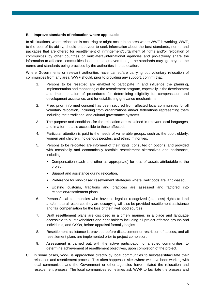#### **B. Improve standards of relocation where applicable**

In all situations, where relocation is occurring or might occur in an area where WWF is working, WWF, to the best of its ability, should endeavour to seek information about the best standards, norms and packages that are offered for resettlement of infringement/curtailment of rights and/or relocation of communities by other countries or multilateral/international agencies and pro-actively share the information to affected communities local authorities even though the standards may go beyond the norms and standards being practiced by the authorities in that location.

Where Governments or relevant authorities have carried/are carrying out voluntary relocation of communities from any area, WWF should, prior to providing any support, confirm that:

- 1. Persons to be resettled are enabled to participate in and influence the planning, implementation and monitoring of the resettlement program, especially in the development and implementation of procedures for determining eligibility for compensation and development assistance, and for establishing grievance mechanisms.
- 2. Free, prior, informed consent has been secured from affected local communities for all voluntary relocation, including from organizations and/or federations representing them including their traditional and cultural governance systems.
- 3. The purpose and conditions for the relocation are explained in relevant local languages, and in a form that is accessible to those affected.
- 4. Particular attention is paid to the needs of vulnerable groups, such as the poor, elderly, women and children, indigenous peoples, and ethnic minorities.
- 5. Persons to be relocated are informed of their rights, consulted on options, and provided with technically and economically feasible resettlement alternatives and assistance, including:
	- Compensation (cash and other as appropriate) for loss of assets attributable to the project,
	- **Support and assistance during relocation,**
	- **Preference for land-based resettlement strategies where livelihoods are land-based,**
	- Existing customs, traditions and practices are assessed and factored into relocation/resettlement plans.
- 6. Persons/local communities who have no legal or recognized (stateless) rights to land and/or natural resources they are occupying will also be provided resettlement assistance and fair compensation for the loss of their livelihood sources.
- 7. Draft resettlement plans are disclosed in a timely manner, in a place and language accessible to all stakeholders and right-holders including all project-affected groups and individuals, and CSOs, before appraisal formally begins.
- 8. Resettlement assistance is provided before displacement or restriction of access, and all resettlement plans are implemented prior to project completion.
- 9. Assessment is carried out, with the active participation of affected communities, to determine achievement of resettlement objectives, upon completion of the project.
- C. In some cases, WWF is approached directly by local communities to help/assist/facilitate their relocation and resettlement process. This often happens in sites where we have been working with local communities and the Government or other agencies have initiated the relocation and resettlement process. The local communities sometimes ask WWF to facilitate the process and